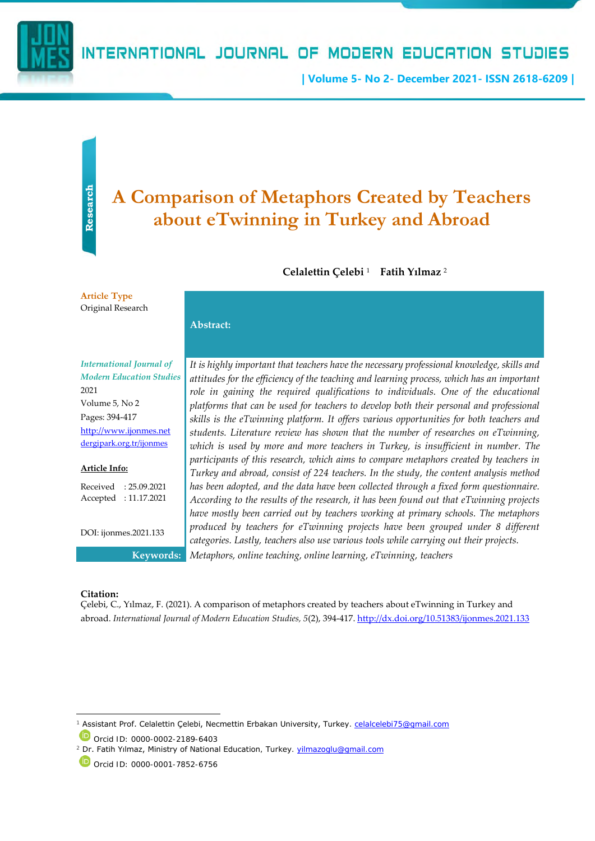

# INTERNATIONAL JOURNAL OF MODERN EDUCATION STUDIES

**| Volume 5- No 2- December 2021- ISSN 2618-6209 |**

# **Research**

# **A Comparison of Metaphors Created by Teachers about eTwinning in Turkey and Abroad**

# **Celalettin Çelebi** <sup>1</sup> - **Fatih Yılmaz** <sup>2</sup>

**Article Type**  Original Research

# *International Journal of Modern Education Studies* 2021 Volume 5, No 2 Pages: 394-417 [http://www.ijonmes.net](http://www.ijonmes.net/) [dergipark.org.tr/ijonmes](http://www.dergipark.gov.tr/ijonmes)

**Abstract:**

#### **Article Info:**

Received : 25.09.2021 Accepted : 11.17.2021

DOI: ijonmes.2021.133

*It is highly important that teachers have the necessary professional knowledge, skills and attitudes for the efficiency of the teaching and learning process, which has an important*  role in gaining the required qualifications to individuals. One of the educational *platforms that can be used for teachers to develop both their personal and professional skills is the eTwinning platform. It offers various opportunities for both teachers and students. Literature review has shown that the number of researches on eTwinning,*  which is used by more and more teachers in Turkey, is insufficient in number. The *participants of this research, which aims to compare metaphors created by teachers in Turkey and abroad, consist of 224 teachers. In the study, the content analysis method has been adopted, and the data have been collected through a fixed form questionnaire. According to the results of the research, it has been found out that eTwinning projects have mostly been carried out by teachers working at primary schools. The metaphors produced by teachers for eTwinning projects have been grouped under 8 different categories. Lastly, teachers also use various tools while carrying out their projects.* **Keywords:** *Metaphors, online teaching, online learning, eTwinning, teachers*

#### **Citation:**

Çelebi, C., Yılmaz, F. (2021). A comparison of metaphors created by teachers about eTwinning in Turkey and abroad. *International Journal of Modern Education Studies, 5*(2), 394-417[. http://dx.doi.org/10.51383/ijonmes.2021.133](http://dx.doi.org/10.51383/ijonmes.2021.133)

Orcid ID: 0000-0002-2189-6403

Assistant Prof. Celalettin Çelebi, Necmettin Erbakan University, Turkey. [celalcelebi75@gmail.com](mailto:celalcelebi75@gmail.com)

<sup>&</sup>lt;sup>2</sup> Dr. Fatih Yılmaz, Ministry of National Education, Turkey. [yilmazoglu@gmail.com](mailto:yilmazoglu@gmail.com)

Orcid ID: 0000-0001-7852-6756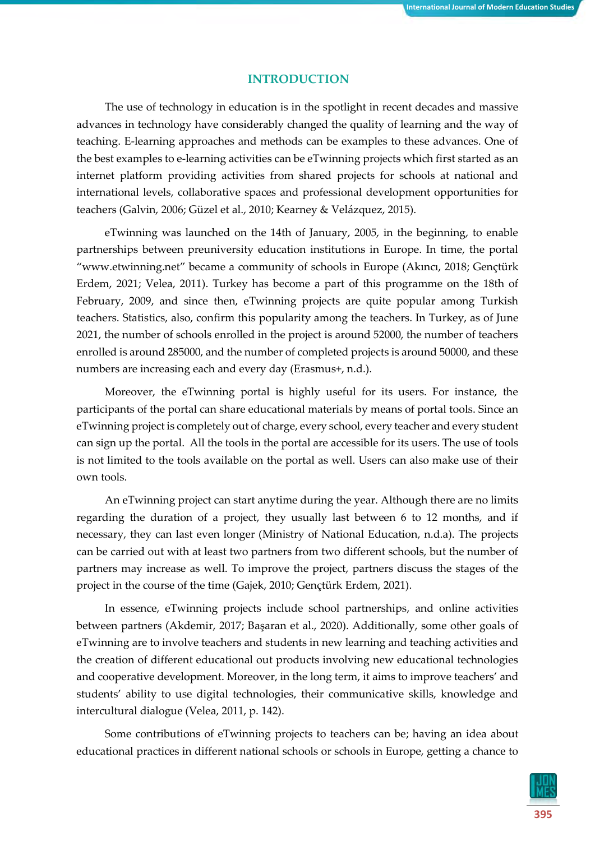# **INTRODUCTION**

The use of technology in education is in the spotlight in recent decades and massive advances in technology have considerably changed the quality of learning and the way of teaching. E-learning approaches and methods can be examples to these advances. One of the best examples to e-learning activities can be eTwinning projects which first started as an internet platform providing activities from shared projects for schools at national and international levels, collaborative spaces and professional development opportunities for teachers (Galvin, 2006; Güzel et al., 2010; Kearney & Velázquez, 2015).

eTwinning was launched on the 14th of January, 2005, in the beginning, to enable partnerships between preuniversity education institutions in Europe. In time, the portal "www.etwinning.net" became a community of schools in Europe (Akıncı, 2018; Gençtürk Erdem, 2021; Velea, 2011). Turkey has become a part of this programme on the 18th of February, 2009, and since then, eTwinning projects are quite popular among Turkish teachers. Statistics, also, confirm this popularity among the teachers. In Turkey, as of June 2021, the number of schools enrolled in the project is around 52000, the number of teachers enrolled is around 285000, and the number of completed projects is around 50000, and these numbers are increasing each and every day (Erasmus+, n.d.).

Moreover, the eTwinning portal is highly useful for its users. For instance, the participants of the portal can share educational materials by means of portal tools. Since an eTwinning project is completely out of charge, every school, every teacher and every student can sign up the portal. All the tools in the portal are accessible for its users. The use of tools is not limited to the tools available on the portal as well. Users can also make use of their own tools.

An eTwinning project can start anytime during the year. Although there are no limits regarding the duration of a project, they usually last between 6 to 12 months, and if necessary, they can last even longer (Ministry of National Education, n.d.a). The projects can be carried out with at least two partners from two different schools, but the number of partners may increase as well. To improve the project, partners discuss the stages of the project in the course of the time (Gajek, 2010; Gençtürk Erdem, 2021).

In essence, eTwinning projects include school partnerships, and online activities between partners (Akdemir, 2017; Başaran et al., 2020). Additionally, some other goals of eTwinning are to involve teachers and students in new learning and teaching activities and the creation of different educational out products involving new educational technologies and cooperative development. Moreover, in the long term, it aims to improve teachers' and students' ability to use digital technologies, their communicative skills, knowledge and intercultural dialogue (Velea, 2011, p. 142).

Some contributions of eTwinning projects to teachers can be; having an idea about educational practices in different national schools or schools in Europe, getting a chance to

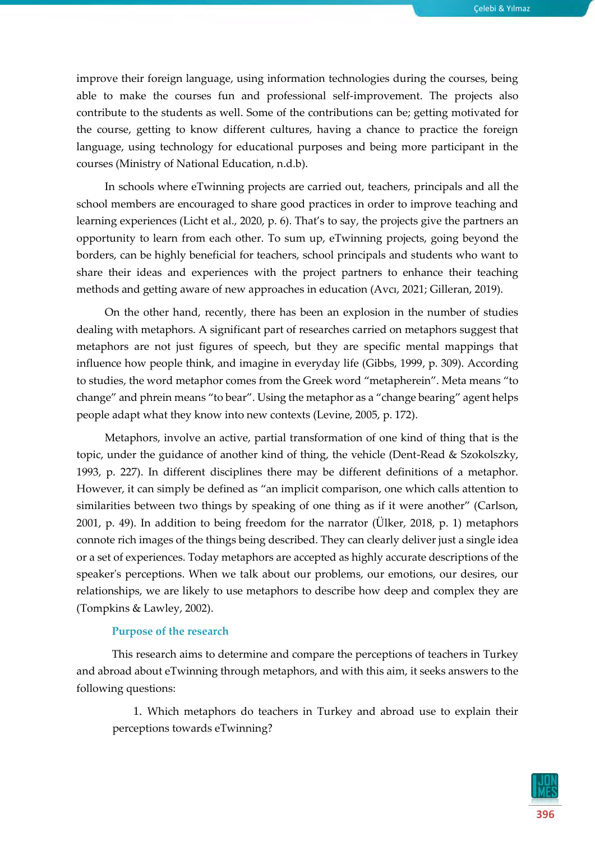improve their foreign language, using information technologies during the courses, being able to make the courses fun and professional self-improvement. The projects also contribute to the students as well. Some of the contributions can be; getting motivated for the course, getting to know different cultures, having a chance to practice the foreign language, using technology for educational purposes and being more participant in the courses (Ministry of National Education, n.d.b).

In schools where eTwinning projects are carried out, teachers, principals and all the school members are encouraged to share good practices in order to improve teaching and learning experiences (Licht et al., 2020, p. 6). That's to say, the projects give the partners an opportunity to learn from each other. To sum up, eTwinning projects, going beyond the borders, can be highly beneficial for teachers, school principals and students who want to share their ideas and experiences with the project partners to enhance their teaching methods and getting aware of new approaches in education (Avcı, 2021; Gilleran, 2019).

On the other hand, recently, there has been an explosion in the number of studies dealing with metaphors. A significant part of researches carried on metaphors suggest that metaphors are not just figures of speech, but they are specific mental mappings that influence how people think, and imagine in everyday life (Gibbs, 1999, p. 309). According to studies, the word metaphor comes from the Greek word "metapherein". Meta means "to change" and phrein means "to bear". Using the metaphor as a "change bearing" agent helps people adapt what they know into new contexts (Levine, 2005, p. 172).

Metaphors, involve an active, partial transformation of one kind of thing that is the topic, under the guidance of another kind of thing, the vehicle (Dent-Read & Szokolszky, 1993, p. 227). In different disciplines there may be different definitions of a metaphor. However, it can simply be defined as "an implicit comparison, one which calls attention to similarities between two things by speaking of one thing as if it were another" (Carlson, 2001, p. 49). In addition to being freedom for the narrator (Ülker, 2018, p. 1) metaphors connote rich images of the things being described. They can clearly deliver just a single idea or a set of experiences. Today metaphors are accepted as highly accurate descriptions of the speaker's perceptions. When we talk about our problems, our emotions, our desires, our relationships, we are likely to use metaphors to describe how deep and complex they are (Tompkins & Lawley, 2002).

#### **Purpose of the research**

This research aims to determine and compare the perceptions of teachers in Turkey and abroad about eTwinning through metaphors, and with this aim, it seeks answers to the following questions:

1. Which metaphors do teachers in Turkey and abroad use to explain their perceptions towards eTwinning?

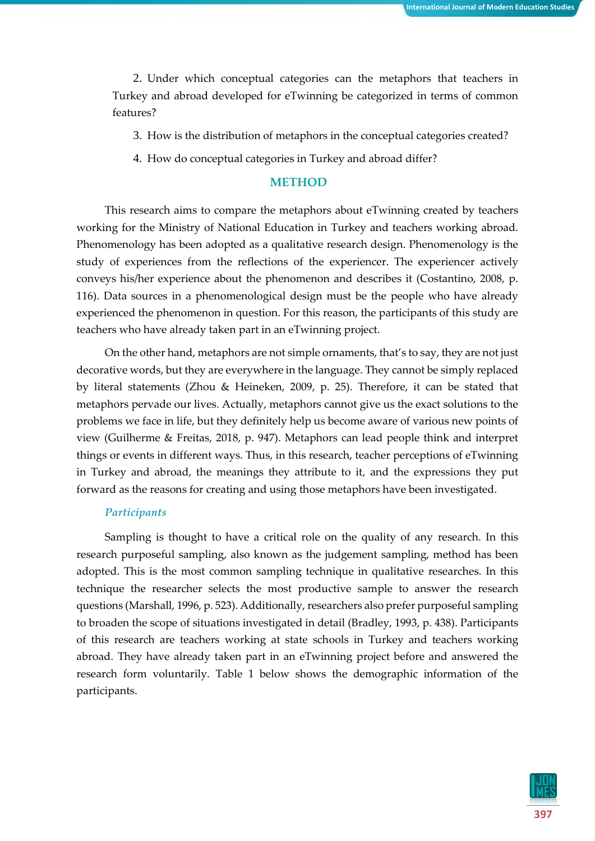2. Under which conceptual categories can the metaphors that teachers in Turkey and abroad developed for eTwinning be categorized in terms of common features?

3. How is the distribution of metaphors in the conceptual categories created?

4. How do conceptual categories in Turkey and abroad differ?

# **METHOD**

This research aims to compare the metaphors about eTwinning created by teachers working for the Ministry of National Education in Turkey and teachers working abroad. Phenomenology has been adopted as a qualitative research design. Phenomenology is the study of experiences from the reflections of the experiencer. The experiencer actively conveys his/her experience about the phenomenon and describes it (Costantino, 2008, p. 116). Data sources in a phenomenological design must be the people who have already experienced the phenomenon in question. For this reason, the participants of this study are teachers who have already taken part in an eTwinning project.

On the other hand, metaphors are not simple ornaments, that's to say, they are not just decorative words, but they are everywhere in the language. They cannot be simply replaced by literal statements (Zhou & Heineken, 2009, p. 25). Therefore, it can be stated that metaphors pervade our lives. Actually, metaphors cannot give us the exact solutions to the problems we face in life, but they definitely help us become aware of various new points of view (Guilherme & Freitas, 2018, p. 947). Metaphors can lead people think and interpret things or events in different ways. Thus, in this research, teacher perceptions of eTwinning in Turkey and abroad, the meanings they attribute to it, and the expressions they put forward as the reasons for creating and using those metaphors have been investigated.

#### *Participants*

Sampling is thought to have a critical role on the quality of any research. In this research purposeful sampling, also known as the judgement sampling, method has been adopted. This is the most common sampling technique in qualitative researches. In this technique the researcher selects the most productive sample to answer the research questions (Marshall, 1996, p. 523). Additionally, researchers also prefer purposeful sampling to broaden the scope of situations investigated in detail (Bradley, 1993, p. 438). Participants of this research are teachers working at state schools in Turkey and teachers working abroad. They have already taken part in an eTwinning project before and answered the research form voluntarily. Table 1 below shows the demographic information of the participants.

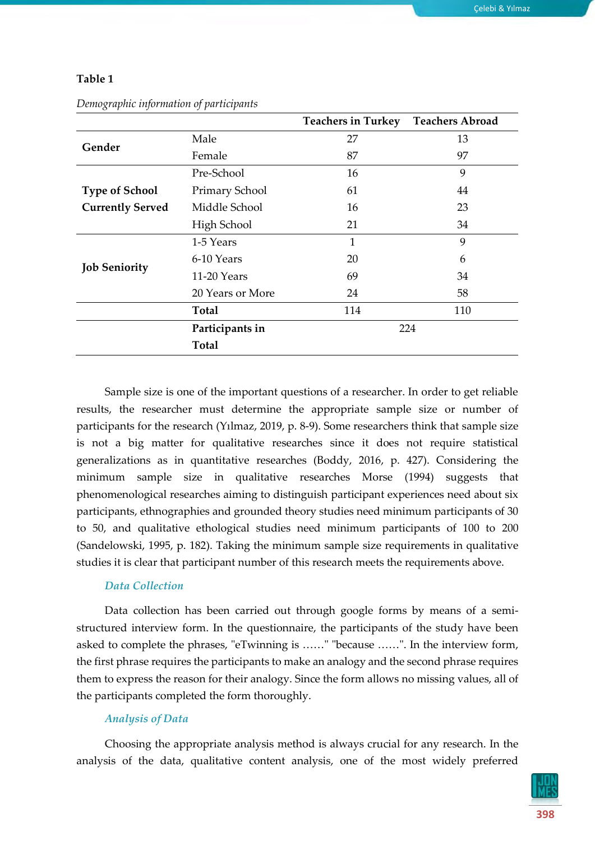|                         |                       | <b>Teachers in Turkey</b> | <b>Teachers Abroad</b> |
|-------------------------|-----------------------|---------------------------|------------------------|
| Gender                  | Male                  | 27                        | 13                     |
|                         | Female                | 87                        | 97                     |
|                         | Pre-School            | 16                        | 9                      |
| <b>Type of School</b>   | <b>Primary School</b> | 61                        | 44                     |
| <b>Currently Served</b> | Middle School         | 16                        | 23                     |
|                         | High School           | 21                        | 34                     |
|                         | 1-5 Years             | $\mathbf{1}$              | 9                      |
|                         | 6-10 Years            | 20                        | 6                      |
| <b>Job Seniority</b>    | 11-20 Years           | 69                        | 34                     |
|                         | 20 Years or More      | 24                        | 58                     |
|                         | Total                 | 114                       | 110                    |
|                         | Participants in       |                           | 224                    |
|                         | <b>Total</b>          |                           |                        |

*Demographic information of participants*

Sample size is one of the important questions of a researcher. In order to get reliable results, the researcher must determine the appropriate sample size or number of participants for the research (Yılmaz, 2019, p. 8-9). Some researchers think that sample size is not a big matter for qualitative researches since it does not require statistical generalizations as in quantitative researches (Boddy, 2016, p. 427). Considering the minimum sample size in qualitative researches Morse (1994) suggests that phenomenological researches aiming to distinguish participant experiences need about six participants, ethnographies and grounded theory studies need minimum participants of 30 to 50, and qualitative ethological studies need minimum participants of 100 to 200 (Sandelowski, 1995, p. 182). Taking the minimum sample size requirements in qualitative studies it is clear that participant number of this research meets the requirements above.

# *Data Collection*

Data collection has been carried out through google forms by means of a semistructured interview form. In the questionnaire, the participants of the study have been asked to complete the phrases, "eTwinning is ……" "because ……". In the interview form, the first phrase requires the participants to make an analogy and the second phrase requires them to express the reason for their analogy. Since the form allows no missing values, all of the participants completed the form thoroughly.

# *Analysis of Data*

Choosing the appropriate analysis method is always crucial for any research. In the analysis of the data, qualitative content analysis, one of the most widely preferred

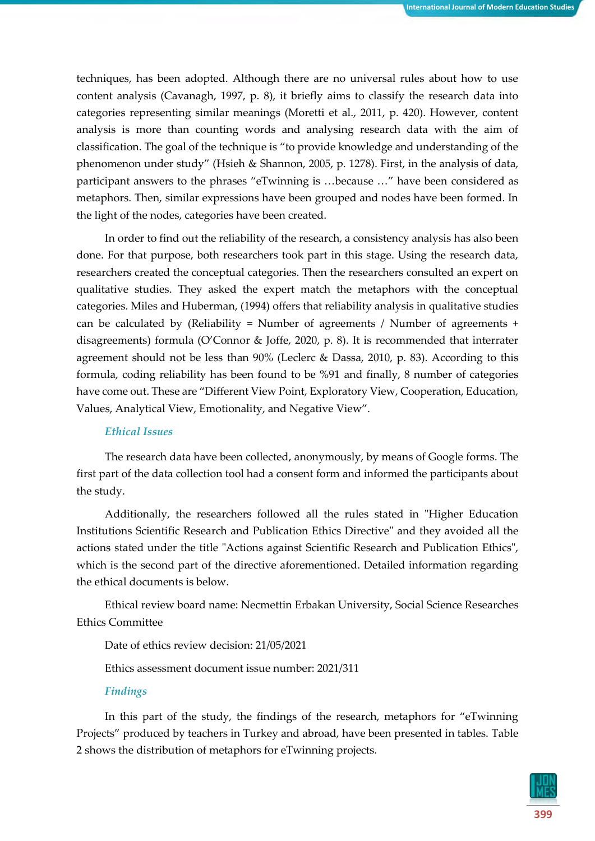techniques, has been adopted. Although there are no universal rules about how to use content analysis (Cavanagh, 1997, p. 8), it briefly aims to classify the research data into categories representing similar meanings (Moretti et al., 2011, p. 420). However, content analysis is more than counting words and analysing research data with the aim of classification. The goal of the technique is "to provide knowledge and understanding of the phenomenon under study" (Hsieh & Shannon, 2005, p. 1278). First, in the analysis of data, participant answers to the phrases "eTwinning is …because …" have been considered as metaphors. Then, similar expressions have been grouped and nodes have been formed. In the light of the nodes, categories have been created.

In order to find out the reliability of the research, a consistency analysis has also been done. For that purpose, both researchers took part in this stage. Using the research data, researchers created the conceptual categories. Then the researchers consulted an expert on qualitative studies. They asked the expert match the metaphors with the conceptual categories. Miles and Huberman, (1994) offers that reliability analysis in qualitative studies can be calculated by (Reliability = Number of agreements / Number of agreements + disagreements) formula (O'Connor & Joffe, 2020, p. 8). It is recommended that interrater agreement should not be less than  $90\%$  (Leclerc & Dassa, 2010, p. 83). According to this formula, coding reliability has been found to be %91 and finally, 8 number of categories have come out. These are "Different View Point, Exploratory View, Cooperation, Education, Values, Analytical View, Emotionality, and Negative View".

#### *Ethical Issues*

The research data have been collected, anonymously, by means of Google forms. The first part of the data collection tool had a consent form and informed the participants about the study.

Additionally, the researchers followed all the rules stated in "Higher Education Institutions Scientific Research and Publication Ethics Directive" and they avoided all the actions stated under the title "Actions against Scientific Research and Publication Ethics", which is the second part of the directive aforementioned. Detailed information regarding the ethical documents is below.

Ethical review board name: Necmettin Erbakan University, Social Science Researches Ethics Committee

Date of ethics review decision: 21/05/2021

Ethics assessment document issue number: 2021/311

#### *Findings*

In this part of the study, the findings of the research, metaphors for "eTwinning Projects" produced by teachers in Turkey and abroad, have been presented in tables. Table 2 shows the distribution of metaphors for eTwinning projects.

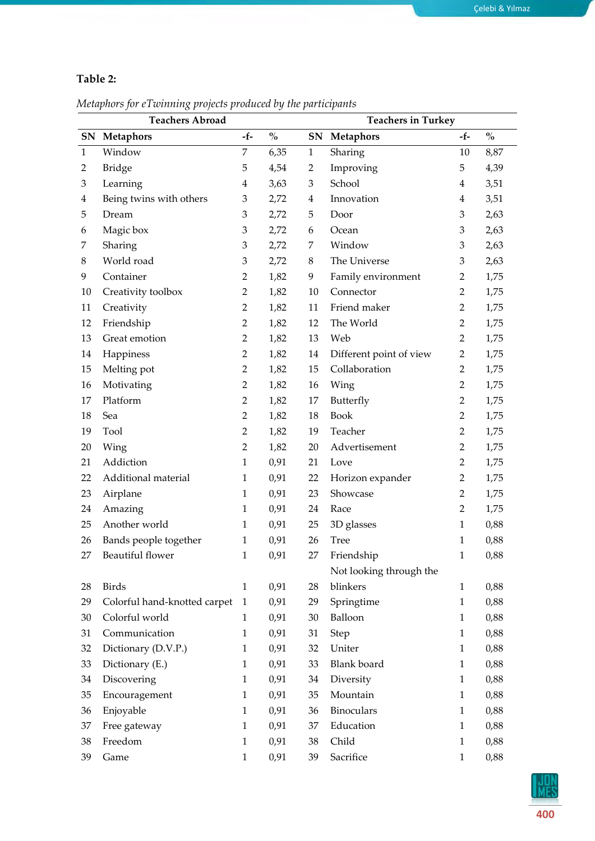# **Table 2:**

*Metaphors for eTwinning projects produced by the participants*

|              | <b>Teachers Abroad</b>       |                |                                    |                | <b>Teachers in Turkey</b> |                |                                    |  |
|--------------|------------------------------|----------------|------------------------------------|----------------|---------------------------|----------------|------------------------------------|--|
|              | SN Metaphors                 | $-f-$          | $\mathbf{0}_{\mathbf{0}}^{\prime}$ | SN             | <b>Metaphors</b>          | -f-            | $\mathbf{0}_{\mathbf{0}}^{\prime}$ |  |
| $\mathbf{1}$ | Window                       | 7              | 6,35                               | $\mathbf{1}$   | Sharing                   | 10             | 8,87                               |  |
| 2            | <b>Bridge</b>                | 5              | 4,54                               | 2              | Improving                 | 5              | 4,39                               |  |
| 3            | Learning                     | 4              | 3,63                               | 3              | School                    | $\overline{4}$ | 3,51                               |  |
| 4            | Being twins with others      | $\mathfrak{Z}$ | 2,72                               | $\overline{4}$ | Innovation                | $\overline{4}$ | 3,51                               |  |
| 5            | Dream                        | 3              | 2,72                               | 5              | Door                      | 3              | 2,63                               |  |
| 6            | Magic box                    | 3              | 2,72                               | 6              | Ocean                     | 3              | 2,63                               |  |
| 7            | Sharing                      | 3              | 2,72                               | 7              | Window                    | 3              | 2,63                               |  |
| 8            | World road                   | 3              | 2,72                               | 8              | The Universe              | $\mathfrak{Z}$ | 2,63                               |  |
| 9            | Container                    | $\overline{2}$ | 1,82                               | 9              | Family environment        | $\overline{2}$ | 1,75                               |  |
| 10           | Creativity toolbox           | $\overline{2}$ | 1,82                               | 10             | Connector                 | $\overline{2}$ | 1,75                               |  |
| 11           | Creativity                   | $\overline{2}$ | 1,82                               | 11             | Friend maker              | $\overline{2}$ | 1,75                               |  |
| 12           | Friendship                   | 2              | 1,82                               | 12             | The World                 | $\overline{2}$ | 1,75                               |  |
| 13           | Great emotion                | $\overline{2}$ | 1,82                               | 13             | Web                       | $\overline{2}$ | 1,75                               |  |
| 14           | Happiness                    | $\overline{2}$ | 1,82                               | 14             | Different point of view   | $\overline{2}$ | 1,75                               |  |
| 15           | Melting pot                  | $\overline{2}$ | 1,82                               | 15             | Collaboration             | $\overline{2}$ | 1,75                               |  |
| 16           | Motivating                   | $\overline{2}$ | 1,82                               | 16             | Wing                      | $\overline{2}$ | 1,75                               |  |
| 17           | Platform                     | $\overline{2}$ | 1,82                               | 17             | Butterfly                 | $\overline{2}$ | 1,75                               |  |
| 18           | Sea                          | $\overline{2}$ | 1,82                               | 18             | <b>Book</b>               | $\overline{2}$ | 1,75                               |  |
| 19           | Tool                         | $\overline{2}$ | 1,82                               | 19             | Teacher                   | $\overline{2}$ | 1,75                               |  |
| 20           | Wing                         | $\overline{2}$ | 1,82                               | 20             | Advertisement             | $\overline{2}$ | 1,75                               |  |
| 21           | Addiction                    | $\mathbf{1}$   | 0,91                               | 21             | Love                      | $\overline{2}$ | 1,75                               |  |
| 22           | Additional material          | 1              | 0,91                               | 22             | Horizon expander          | $\overline{2}$ | 1,75                               |  |
| 23           | Airplane                     | 1              | 0,91                               | 23             | Showcase                  | $\overline{2}$ | 1,75                               |  |
| 24           | Amazing                      | $\mathbf{1}$   | 0,91                               | 24             | Race                      | $\overline{2}$ | 1,75                               |  |
| 25           | Another world                | $\mathbf{1}$   | 0,91                               | 25             | 3D glasses                | $\mathbf{1}$   | 0,88                               |  |
| 26           | Bands people together        | 1              | 0,91                               | 26             | <b>Tree</b>               | $\mathbf{1}$   | 0,88                               |  |
| 27           | Beautiful flower             | $\mathbf{1}$   | 0,91                               | 27             | Friendship                | $\mathbf{1}$   | $0,\!88$                           |  |
|              |                              |                |                                    |                | Not looking through the   |                |                                    |  |
| 28           | <b>Birds</b>                 | $\mathbf{1}$   | 0,91                               | 28             | blinkers                  | $\mathbf{1}$   | 0,88                               |  |
| 29           | Colorful hand-knotted carpet | $\mathbf{1}$   | 0,91                               | 29             | Springtime                | $\mathbf{1}$   | 0,88                               |  |
| 30           | Colorful world               | $\mathbf{1}$   | 0,91                               | 30             | Balloon                   | $\mathbf{1}$   | 0,88                               |  |
| 31           | Communication                | $\mathbf{1}$   | 0,91                               | 31             | Step                      | $\mathbf{1}$   | 0,88                               |  |
| 32           | Dictionary (D.V.P.)          | $\mathbf{1}$   | 0,91                               | 32             | Uniter                    | $\mathbf{1}$   | 0,88                               |  |
| 33           | Dictionary (E.)              | $\mathbf{1}$   | 0,91                               | 33             | <b>Blank</b> board        | $\mathbf{1}$   | 0,88                               |  |
| 34           | Discovering                  | $\mathbf{1}$   | 0,91                               | 34             | Diversity                 | $\mathbf{1}$   | 0,88                               |  |
| 35           | Encouragement                | $\mathbf{1}$   | 0,91                               | 35             | Mountain                  | $\mathbf{1}$   | 0,88                               |  |
| 36           | Enjoyable                    | $\mathbf{1}$   | 0,91                               | 36             | Binoculars                | $\mathbf{1}$   | 0,88                               |  |
| 37           | Free gateway                 | $\mathbf{1}$   | 0,91                               | 37             | Education                 | $\mathbf{1}$   | 0,88                               |  |
| 38           | Freedom                      | $\mathbf{1}$   | 0,91                               | 38             | Child                     | $\mathbf{1}$   | 0,88                               |  |
| 39           | Game                         | $\mathbf{1}$   | 0,91                               | 39             | Sacrifice                 | $\mathbf{1}$   | 0,88                               |  |

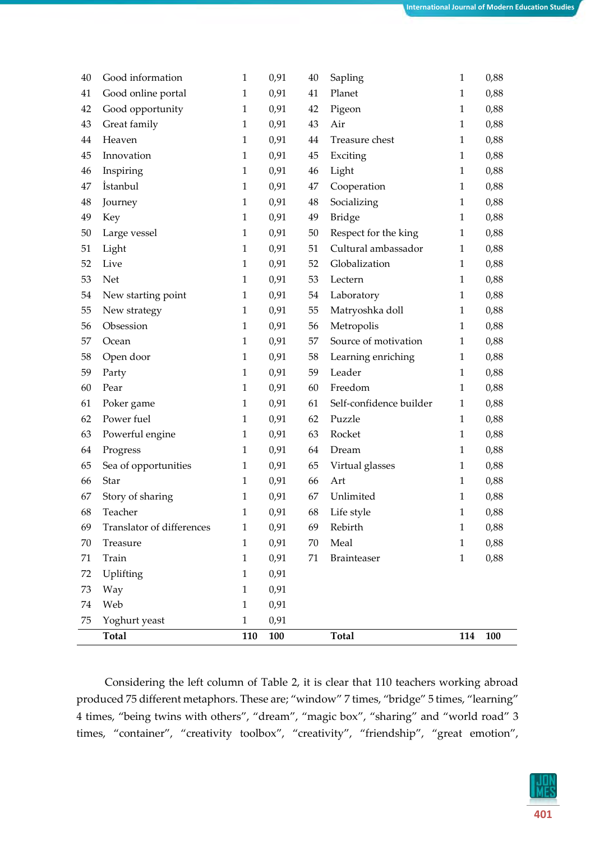|    | Total                     | 110          | 100  |    | Total                   | 114          | 100  |
|----|---------------------------|--------------|------|----|-------------------------|--------------|------|
| 75 | Yoghurt yeast             | $\mathbf{1}$ | 0,91 |    |                         |              |      |
| 74 | Web                       | $\mathbf{1}$ | 0,91 |    |                         |              |      |
| 73 | Way                       | 1            | 0,91 |    |                         |              |      |
| 72 | Uplifting                 | $\mathbf{1}$ | 0,91 |    |                         |              |      |
| 71 | Train                     | $\mathbf{1}$ | 0,91 | 71 | Brainteaser             | $\mathbf{1}$ | 0,88 |
| 70 | Treasure                  | 1            | 0,91 | 70 | Meal                    | 1            | 0,88 |
| 69 | Translator of differences | 1            | 0,91 | 69 | Rebirth                 | $\mathbf{1}$ | 0,88 |
| 68 | Teacher                   | 1            | 0,91 | 68 | Life style              | $\mathbf{1}$ | 0,88 |
| 67 | Story of sharing          | 1            | 0,91 | 67 | Unlimited               | $\mathbf{1}$ | 0,88 |
| 66 | Star                      | $\mathbf{1}$ | 0,91 | 66 | Art                     | $\mathbf{1}$ | 0,88 |
| 65 | Sea of opportunities      | 1            | 0,91 | 65 | Virtual glasses         | $\mathbf{1}$ | 0,88 |
| 64 | Progress                  | $\mathbf{1}$ | 0,91 | 64 | Dream                   | $\mathbf{1}$ | 0,88 |
| 63 | Powerful engine           | 1            | 0,91 | 63 | Rocket                  | $\mathbf{1}$ | 0,88 |
| 62 | Power fuel                | 1            | 0,91 | 62 | Puzzle                  | $\mathbf{1}$ | 0,88 |
| 61 | Poker game                | $\mathbf{1}$ | 0,91 | 61 | Self-confidence builder | $\mathbf{1}$ | 0,88 |
| 60 | Pear                      | $\mathbf{1}$ | 0,91 | 60 | Freedom                 | $\mathbf{1}$ | 0,88 |
| 59 | Party                     | $\mathbf{1}$ | 0,91 | 59 | Leader                  | $\mathbf{1}$ | 0,88 |
| 58 | Open door                 | 1            | 0,91 | 58 | Learning enriching      | $\mathbf{1}$ | 0,88 |
| 57 | Ocean                     | $\mathbf{1}$ | 0,91 | 57 | Source of motivation    | $\mathbf{1}$ | 0,88 |
| 56 | Obsession                 | 1            | 0,91 | 56 | Metropolis              | $\mathbf{1}$ | 0,88 |
| 55 | New strategy              | 1            | 0,91 | 55 | Matryoshka doll         | $\mathbf{1}$ | 0,88 |
| 54 | New starting point        | $\mathbf{1}$ | 0,91 | 54 | Laboratory              | $\mathbf{1}$ | 0,88 |
| 53 | Net                       | 1            | 0,91 | 53 | Lectern                 | $\mathbf{1}$ | 0,88 |
| 52 | Live                      | $\mathbf{1}$ | 0,91 | 52 | Globalization           | $\mathbf{1}$ | 0,88 |
| 51 | Light                     | 1            | 0,91 | 51 | Cultural ambassador     | 1            | 0,88 |
| 50 | Large vessel              | 1            | 0,91 | 50 | Respect for the king    | $\mathbf{1}$ | 0,88 |
| 49 | Key                       | $\mathbf{1}$ | 0,91 | 49 | <b>Bridge</b>           | $\mathbf{1}$ | 0,88 |
| 48 | Journey                   | 1            | 0,91 | 48 | Socializing             | $\mathbf{1}$ | 0,88 |
| 47 | <i>istanbul</i>           | $\mathbf{1}$ | 0,91 | 47 | Cooperation             | $\mathbf{1}$ | 0,88 |
| 46 | Inspiring                 | $\mathbf{1}$ | 0,91 | 46 | Light                   | $\mathbf{1}$ | 0,88 |
| 45 | Innovation                | 1            | 0,91 | 45 | Exciting                | $\mathbf{1}$ | 0,88 |
| 44 | Heaven                    | 1            | 0,91 | 44 | Treasure chest          | $\mathbf{1}$ | 0,88 |
| 43 | Great family              | $\mathbf{1}$ | 0,91 | 43 | Air                     | $\mathbf{1}$ | 0,88 |
| 42 | Good opportunity          | 1            | 0,91 | 42 | Pigeon                  | $\mathbf{1}$ | 0,88 |
| 41 | Good online portal        | 1            | 0,91 | 41 | Planet                  | 1            | 0,88 |
| 40 | Good information          | 1            | 0,91 | 40 | Sapling                 | $\mathbf{1}$ | 0,88 |

Considering the left column of Table 2, it is clear that 110 teachers working abroad produced 75 different metaphors. These are; "window" 7 times, "bridge" 5 times, "learning" 4 times, "being twins with others", "dream", "magic box", "sharing" and "world road" 3 times, "container", "creativity toolbox", "creativity", "friendship", "great emotion",

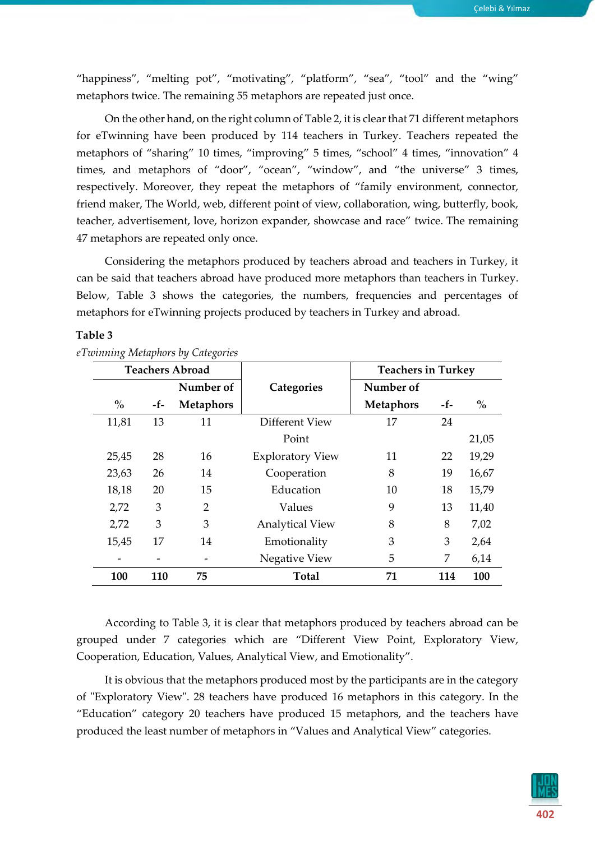"happiness", "melting pot", "motivating", "platform", "sea", "tool" and the "wing" metaphors twice. The remaining 55 metaphors are repeated just once.

On the other hand, on the right column of Table 2, it is clear that 71 different metaphors for eTwinning have been produced by 114 teachers in Turkey. Teachers repeated the metaphors of "sharing" 10 times, "improving" 5 times, "school" 4 times, "innovation" 4 times, and metaphors of "door", "ocean", "window", and "the universe" 3 times, respectively. Moreover, they repeat the metaphors of "family environment, connector, friend maker, The World, web, different point of view, collaboration, wing, butterfly, book, teacher, advertisement, love, horizon expander, showcase and race" twice. The remaining 47 metaphors are repeated only once.

Considering the metaphors produced by teachers abroad and teachers in Turkey, it can be said that teachers abroad have produced more metaphors than teachers in Turkey. Below, Table 3 shows the categories, the numbers, frequencies and percentages of metaphors for eTwinning projects produced by teachers in Turkey and abroad.

#### **Table 3**

|               | <b>Teachers Abroad</b> |                  |                         | <b>Teachers in Turkey</b> |     |       |
|---------------|------------------------|------------------|-------------------------|---------------------------|-----|-------|
|               |                        | Number of        | Categories              | Number of                 |     |       |
| $\frac{0}{0}$ | -f-                    | <b>Metaphors</b> |                         | <b>Metaphors</b>          | -f- | $\%$  |
| 11,81         | 13                     | 11               | Different View          | 17                        | 24  |       |
|               |                        |                  | Point                   |                           |     | 21,05 |
| 25,45         | 28                     | 16               | <b>Exploratory View</b> | 11                        | 22  | 19,29 |
| 23,63         | 26                     | 14               | Cooperation             | 8                         | 19  | 16,67 |
| 18,18         | 20                     | 15               | Education               | 10                        | 18  | 15,79 |
| 2,72          | 3                      | $\overline{2}$   | Values                  | 9                         | 13  | 11,40 |
| 2,72          | 3                      | 3                | <b>Analytical View</b>  | 8                         | 8   | 7,02  |
| 15,45         | 17                     | 14               | Emotionality            | 3                         | 3   | 2,64  |
|               |                        |                  | Negative View           | 5                         | 7   | 6,14  |
| 100           | 110                    | 75               | <b>Total</b>            | 71                        | 114 | 100   |

*eTwinning Metaphors by Categories*

According to Table 3, it is clear that metaphors produced by teachers abroad can be grouped under 7 categories which are "Different View Point, Exploratory View, Cooperation, Education, Values, Analytical View, and Emotionality".

It is obvious that the metaphors produced most by the participants are in the category of "Exploratory View". 28 teachers have produced 16 metaphors in this category. In the "Education" category 20 teachers have produced 15 metaphors, and the teachers have produced the least number of metaphors in "Values and Analytical View" categories.

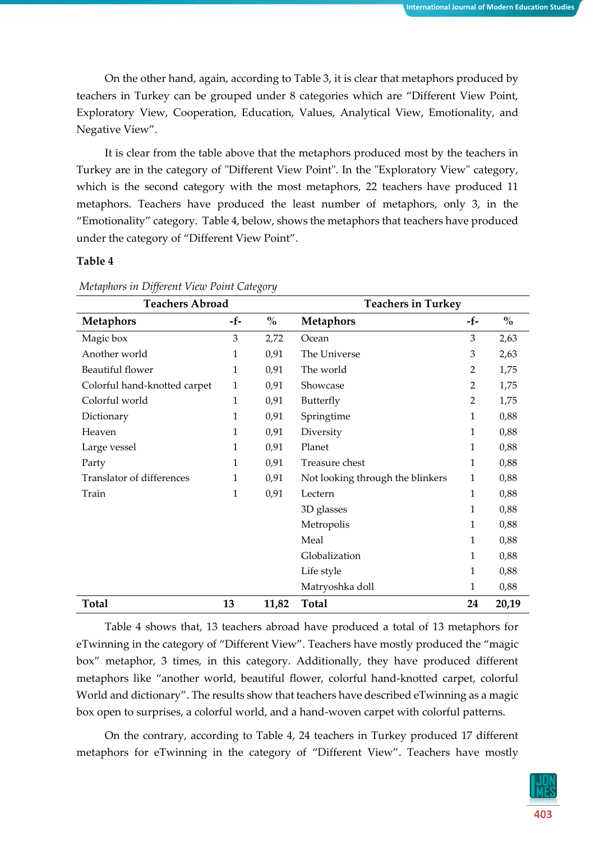On the other hand, again, according to Table 3, it is clear that metaphors produced by teachers in Turkey can be grouped under 8 categories which are "Different View Point, Exploratory View, Cooperation, Education, Values, Analytical View, Emotionality, and Negative View".

It is clear from the table above that the metaphors produced most by the teachers in Turkey are in the category of "Different View Point". In the "Exploratory View" category, which is the second category with the most metaphors, 22 teachers have produced 11 metaphors. Teachers have produced the least number of metaphors, only 3, in the "Emotionality" category. Table 4, below, shows the metaphors that teachers have produced under the category of "Different View Point".

## **Table 4**

| <b>Teachers Abroad</b>       |                |       | <b>Teachers in Turkey</b>        |                |                                    |  |
|------------------------------|----------------|-------|----------------------------------|----------------|------------------------------------|--|
| <b>Metaphors</b>             | -f-            | $\%$  | <b>Metaphors</b>                 | -f-            | $\mathbf{0}_{\mathbf{0}}^{\prime}$ |  |
| Magic box                    | $\mathfrak{Z}$ | 2,72  | Ocean                            | 3              | 2,63                               |  |
| Another world                | 1              | 0,91  | The Universe                     | 3              | 2,63                               |  |
| <b>Beautiful flower</b>      | 1              | 0,91  | The world                        | $\overline{2}$ | 1,75                               |  |
| Colorful hand-knotted carpet | 1              | 0,91  | Showcase                         | 2              | 1,75                               |  |
| Colorful world               | 1              | 0,91  | Butterfly                        | $\overline{2}$ | 1,75                               |  |
| Dictionary                   | 1              | 0,91  | Springtime                       | 1              | 0,88                               |  |
| Heaven                       | 1              | 0,91  | Diversity                        | 1              | 0,88                               |  |
| Large vessel                 | 1              | 0,91  | Planet                           | 1              | 0,88                               |  |
| Party                        | 1              | 0,91  | Treasure chest                   | 1              | 0,88                               |  |
| Translator of differences    | 1              | 0,91  | Not looking through the blinkers | 1              | 0,88                               |  |
| Train                        | 1              | 0,91  | Lectern                          | 1              | 0,88                               |  |
|                              |                |       | 3D glasses                       | 1              | 0,88                               |  |
|                              |                |       | Metropolis                       | 1              | 0,88                               |  |
|                              |                |       | Meal                             | 1              | 0,88                               |  |
|                              |                |       | Globalization                    | 1              | 0,88                               |  |
|                              |                |       | Life style                       | 1              | 0,88                               |  |
|                              |                |       | Matryoshka doll                  | 1              | 0,88                               |  |
| Total                        | 13             | 11,82 | <b>Total</b>                     | 24             | 20,19                              |  |

*Metaphors in Different View Point Category*

Table 4 shows that, 13 teachers abroad have produced a total of 13 metaphors for eTwinning in the category of "Different View". Teachers have mostly produced the "magic box" metaphor, 3 times, in this category. Additionally, they have produced different metaphors like "another world, beautiful flower, colorful hand-knotted carpet, colorful World and dictionary". The results show that teachers have described eTwinning as a magic box open to surprises, a colorful world, and a hand-woven carpet with colorful patterns.

On the contrary, according to Table 4, 24 teachers in Turkey produced 17 different metaphors for eTwinning in the category of "Different View". Teachers have mostly

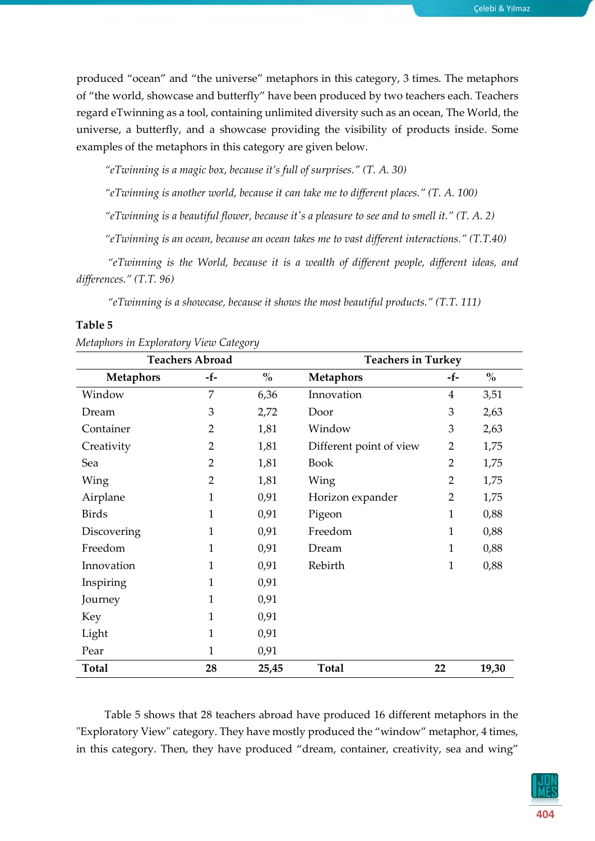Çelebi & Yılmaz

produced "ocean" and "the universe" metaphors in this category, 3 times. The metaphors of "the world, showcase and butterfly" have been produced by two teachers each. Teachers regard eTwinning as a tool, containing unlimited diversity such as an ocean, The World, the universe, a butterfly, and a showcase providing the visibility of products inside. Some examples of the metaphors in this category are given below.

*"eTwinning is a magic box, because it's full of surprises." (T. A. 30)*

*"eTwinning is another world, because it can take me to different places." (T. A. 100)*

*"eTwinning is a beautiful flower, because it's a pleasure to see and to smell it." (T. A. 2)*

*"eTwinning is an ocean, because an ocean takes me to vast different interactions." (T.T.40)*

*"eTwinning is the World, because it is a wealth of different people, different ideas, and differences." (T.T. 96)*

*"eTwinning is a showcase, because it shows the most beautiful products." (T.T. 111)* 

# **Table 5**

|                  | <b>Teachers Abroad</b> |               | <b>Teachers in Turkey</b> |                |               |  |  |
|------------------|------------------------|---------------|---------------------------|----------------|---------------|--|--|
| <b>Metaphors</b> | -f-                    | $\frac{0}{0}$ | <b>Metaphors</b>          | -f-            | $\frac{0}{0}$ |  |  |
| Window           | 7                      | 6,36          | Innovation                | $\overline{4}$ | 3,51          |  |  |
| Dream            | 3                      | 2,72          | Door                      | $\mathfrak{Z}$ | 2,63          |  |  |
| Container        | $\overline{2}$         | 1,81          | Window                    | 3              | 2,63          |  |  |
| Creativity       | $\overline{2}$         | 1,81          | Different point of view   | $\overline{2}$ | 1,75          |  |  |
| Sea              | $\overline{2}$         | 1,81          | <b>Book</b>               | $\overline{2}$ | 1,75          |  |  |
| Wing             | $\overline{2}$         | 1,81          | Wing                      | $\overline{2}$ | 1,75          |  |  |
| Airplane         | $\mathbf{1}$           | 0,91          | Horizon expander          | $\overline{2}$ | 1,75          |  |  |
| <b>Birds</b>     | $\mathbf{1}$           | 0,91          | Pigeon                    | 1              | 0,88          |  |  |
| Discovering      | $\mathbf{1}$           | 0,91          | Freedom                   | 1              | 0,88          |  |  |
| Freedom          | 1                      | 0,91          | Dream                     | 1              | 0,88          |  |  |
| Innovation       | 1                      | 0,91          | Rebirth                   | 1              | 0,88          |  |  |
| Inspiring        | 1                      | 0,91          |                           |                |               |  |  |
| Journey          | $\mathbf{1}$           | 0,91          |                           |                |               |  |  |
| Key              | $\mathbf{1}$           | 0,91          |                           |                |               |  |  |
| Light            | 1                      | 0,91          |                           |                |               |  |  |
| Pear             | 1                      | 0,91          |                           |                |               |  |  |
| <b>Total</b>     | 28                     | 25,45         | <b>Total</b>              | 22             | 19,30         |  |  |

|  |  |  | Metaphors in Exploratory View Category |
|--|--|--|----------------------------------------|
|  |  |  |                                        |

Table 5 shows that 28 teachers abroad have produced 16 different metaphors in the "Exploratory View" category. They have mostly produced the "window" metaphor, 4 times, in this category. Then, they have produced "dream, container, creativity, sea and wing"

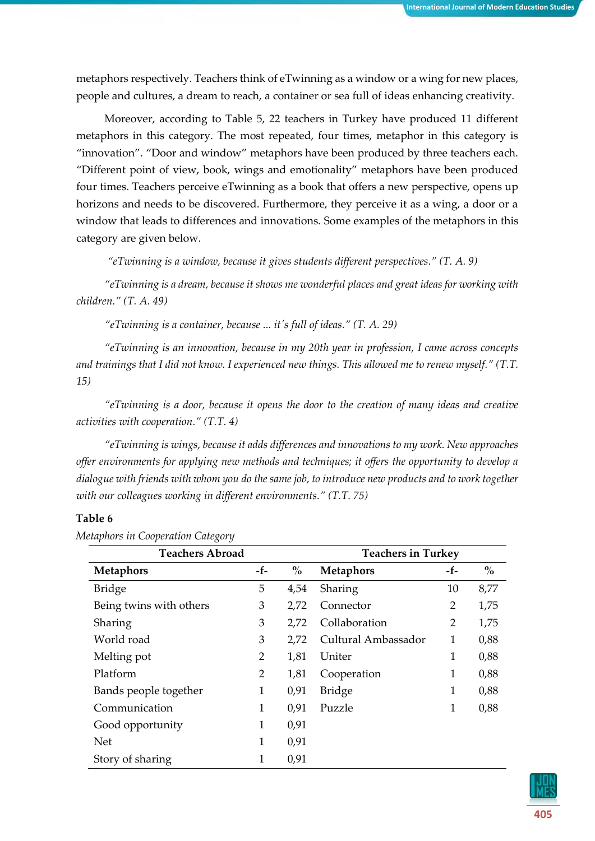metaphors respectively. Teachers think of eTwinning as a window or a wing for new places, people and cultures, a dream to reach, a container or sea full of ideas enhancing creativity.

Moreover, according to Table 5, 22 teachers in Turkey have produced 11 different metaphors in this category. The most repeated, four times, metaphor in this category is "innovation". "Door and window" metaphors have been produced by three teachers each. "Different point of view, book, wings and emotionality" metaphors have been produced four times. Teachers perceive eTwinning as a book that offers a new perspective, opens up horizons and needs to be discovered. Furthermore, they perceive it as a wing, a door or a window that leads to differences and innovations. Some examples of the metaphors in this category are given below.

*"eTwinning is a window, because it gives students different perspectives." (T. A. 9)*

*"eTwinning is a dream, because it shows me wonderful places and great ideas for working with children." (T. A. 49)*

*"eTwinning is a container, because ... it's full of ideas." (T. A. 29)*

*"eTwinning is an innovation, because in my 20th year in profession, I came across concepts and trainings that I did not know. I experienced new things. This allowed me to renew myself." (T.T. 15)*

*"eTwinning is a door, because it opens the door to the creation of many ideas and creative activities with cooperation." (T.T. 4)* 

*"eTwinning is wings, because it adds differences and innovations to my work. New approaches offer environments for applying new methods and techniques; it offers the opportunity to develop a dialogue with friends with whom you do the same job, to introduce new products and to work together with our colleagues working in different environments." (T.T. 75)*

# **Table 6**

| <b>Teachers Abroad</b>  |                | <b>Teachers in Turkey</b> |                     |              |               |
|-------------------------|----------------|---------------------------|---------------------|--------------|---------------|
| <b>Metaphors</b>        | -f-            | $\frac{0}{0}$             | <b>Metaphors</b>    | -f-          | $\frac{0}{0}$ |
| <b>Bridge</b>           | 5              | 4,54                      | Sharing             | 10           | 8,77          |
| Being twins with others | 3              | 2,72                      | Connector           | 2            | 1,75          |
| Sharing                 | 3              | 2,72                      | Collaboration       | 2            | 1,75          |
| World road              | 3              | 2,72                      | Cultural Ambassador | 1            | 0,88          |
| Melting pot             | $\overline{2}$ | 1,81                      | Uniter              | 1            | 0,88          |
| Platform                | $\overline{2}$ | 1,81                      | Cooperation         | $\mathbf{1}$ | 0,88          |
| Bands people together   | $\mathbf{1}$   | 0,91                      | <b>Bridge</b>       | 1            | 0,88          |
| Communication           | 1              | 0,91                      | Puzzle              | 1            | 0,88          |
| Good opportunity        | 1              | 0,91                      |                     |              |               |
| <b>Net</b>              | 1              | 0,91                      |                     |              |               |
| Story of sharing        | 1              | 0,91                      |                     |              |               |

*Metaphors in Cooperation Category*

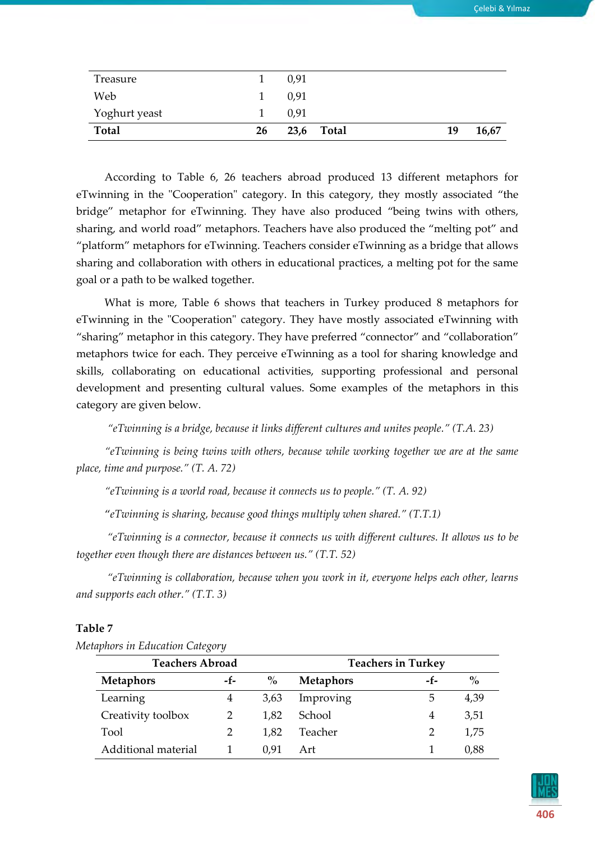| Web<br>Yoghurt yeast |    | 0,91<br>0,91 |            |    |       |
|----------------------|----|--------------|------------|----|-------|
| <b>Total</b>         | 26 |              | 23,6 Total | 19 | 16,67 |

According to Table 6, 26 teachers abroad produced 13 different metaphors for eTwinning in the "Cooperation" category. In this category, they mostly associated "the bridge" metaphor for eTwinning. They have also produced "being twins with others, sharing, and world road" metaphors. Teachers have also produced the "melting pot" and "platform" metaphors for eTwinning. Teachers consider eTwinning as a bridge that allows sharing and collaboration with others in educational practices, a melting pot for the same goal or a path to be walked together.

What is more, Table 6 shows that teachers in Turkey produced 8 metaphors for eTwinning in the "Cooperation" category. They have mostly associated eTwinning with "sharing" metaphor in this category. They have preferred "connector" and "collaboration" metaphors twice for each. They perceive eTwinning as a tool for sharing knowledge and skills, collaborating on educational activities, supporting professional and personal development and presenting cultural values. Some examples of the metaphors in this category are given below.

*"eTwinning is a bridge, because it links different cultures and unites people." (T.A. 23)*

*"eTwinning is being twins with others, because while working together we are at the same place, time and purpose." (T. A. 72)*

*"eTwinning is a world road, because it connects us to people." (T. A. 92)*

"*eTwinning is sharing, because good things multiply when shared." (T.T.1)*

*"eTwinning is a connector, because it connects us with different cultures. It allows us to be together even though there are distances between us." (T.T. 52)*

*"eTwinning is collaboration, because when you work in it, everyone helps each other, learns and supports each other." (T.T. 3)*

#### **Table 7**

| <b>Teachers Abroad</b> |                |               | <b>Teachers in Turkey</b> |     |      |  |
|------------------------|----------------|---------------|---------------------------|-----|------|--|
| <b>Metaphors</b>       | -f-            | $\frac{0}{0}$ | <b>Metaphors</b>          | -f- | $\%$ |  |
| Learning               | 4              | 3,63          | Improving                 | 5   | 4,39 |  |
| Creativity toolbox     | $\overline{2}$ | 1,82          | School                    | 4   | 3,51 |  |
| Tool                   | $\overline{2}$ | 1,82          | Teacher                   |     | 1,75 |  |
| Additional material    |                | 0,91          | Art                       |     | 0,88 |  |

*Metaphors in Education Category*

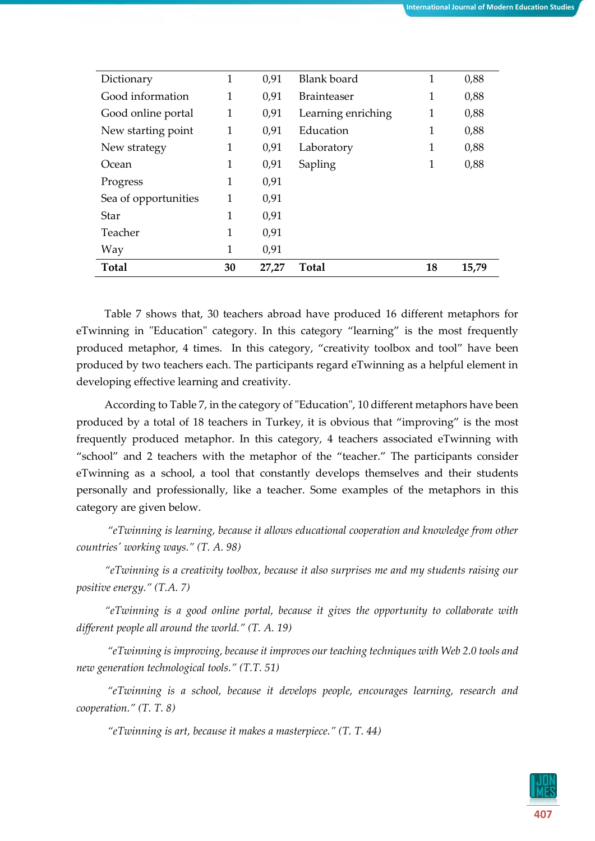| Dictionary           | 1            | 0,91  | Blank board        | 1            | 0,88  |
|----------------------|--------------|-------|--------------------|--------------|-------|
| Good information     | 1            | 0,91  | <b>Brainteaser</b> | 1            | 0,88  |
| Good online portal   | $\mathbf{1}$ | 0,91  | Learning enriching | $\mathbf{1}$ | 0,88  |
| New starting point   | $\mathbf{1}$ | 0,91  | Education          | 1            | 0,88  |
| New strategy         | 1            | 0,91  | Laboratory         | 1            | 0,88  |
| Ocean                | 1            | 0,91  | Sapling            | 1            | 0,88  |
| Progress             | 1            | 0,91  |                    |              |       |
| Sea of opportunities | 1            | 0,91  |                    |              |       |
| Star                 | 1            | 0,91  |                    |              |       |
| Teacher              | 1            | 0,91  |                    |              |       |
| Way                  | 1            | 0,91  |                    |              |       |
| <b>Total</b>         | 30           | 27,27 | Total              | 18           | 15,79 |

Table 7 shows that, 30 teachers abroad have produced 16 different metaphors for eTwinning in "Education" category. In this category "learning" is the most frequently produced metaphor, 4 times. In this category, "creativity toolbox and tool" have been produced by two teachers each. The participants regard eTwinning as a helpful element in developing effective learning and creativity.

According to Table 7, in the category of "Education", 10 different metaphors have been produced by a total of 18 teachers in Turkey, it is obvious that "improving" is the most frequently produced metaphor. In this category, 4 teachers associated eTwinning with "school" and 2 teachers with the metaphor of the "teacher." The participants consider eTwinning as a school, a tool that constantly develops themselves and their students personally and professionally, like a teacher. Some examples of the metaphors in this category are given below.

*"eTwinning is learning, because it allows educational cooperation and knowledge from other countries' working ways." (T. A. 98)*

*"eTwinning is a creativity toolbox, because it also surprises me and my students raising our positive energy." (T.A. 7)*

*"eTwinning is a good online portal, because it gives the opportunity to collaborate with different people all around the world." (T. A. 19)*

*"eTwinning is improving, because it improves our teaching techniques with Web 2.0 tools and new generation technological tools." (T.T. 51)*

*"eTwinning is a school, because it develops people, encourages learning, research and cooperation." (T. T. 8)*

*"eTwinning is art, because it makes a masterpiece." (T. T. 44)*

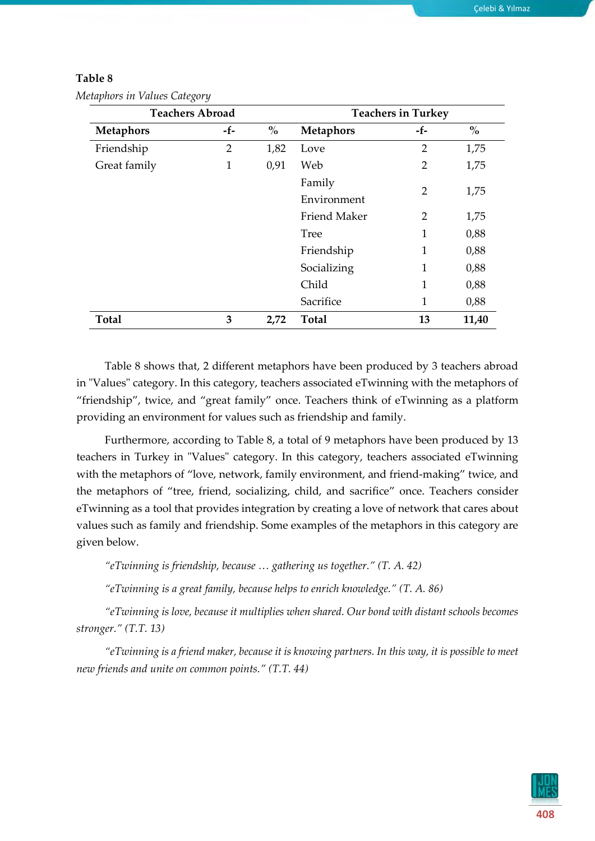|                  | <b>Teachers Abroad</b> |      |                  | <b>Teachers in Turkey</b> |       |
|------------------|------------------------|------|------------------|---------------------------|-------|
| <b>Metaphors</b> | -f-                    | $\%$ | <b>Metaphors</b> | -f-                       | $\%$  |
| Friendship       | 2                      | 1,82 | Love             | $\overline{2}$            | 1,75  |
| Great family     | 1                      | 0,91 | Web              | $\overline{2}$            | 1,75  |
|                  |                        |      | Family           | $\overline{2}$            |       |
|                  |                        |      | Environment      |                           | 1,75  |
|                  |                        |      | Friend Maker     | 2                         | 1,75  |
|                  |                        |      | <b>Tree</b>      | 1                         | 0,88  |
|                  |                        |      | Friendship       | 1                         | 0,88  |
|                  |                        |      | Socializing      | 1                         | 0,88  |
|                  |                        |      | Child            | 1                         | 0,88  |
|                  |                        |      | Sacrifice        | 1                         | 0,88  |
| <b>Total</b>     | 3                      | 2,72 | <b>Total</b>     | 13                        | 11,40 |

| Metaphors in Values Category |  |  |  |
|------------------------------|--|--|--|
|------------------------------|--|--|--|

Table 8 shows that, 2 different metaphors have been produced by 3 teachers abroad in "Values" category. In this category, teachers associated eTwinning with the metaphors of "friendship", twice, and "great family" once. Teachers think of eTwinning as a platform providing an environment for values such as friendship and family.

Furthermore, according to Table 8, a total of 9 metaphors have been produced by 13 teachers in Turkey in "Values" category. In this category, teachers associated eTwinning with the metaphors of "love, network, family environment, and friend-making" twice, and the metaphors of "tree, friend, socializing, child, and sacrifice" once. Teachers consider eTwinning as a tool that provides integration by creating a love of network that cares about values such as family and friendship. Some examples of the metaphors in this category are given below.

*"eTwinning is friendship, because … gathering us together." (T. A. 42)*

*"eTwinning is a great family, because helps to enrich knowledge." (T. A. 86)*

*"eTwinning is love, because it multiplies when shared. Our bond with distant schools becomes stronger." (T.T. 13)*

*"eTwinning is a friend maker, because it is knowing partners. In this way, it is possible to meet new friends and unite on common points." (T.T. 44)*

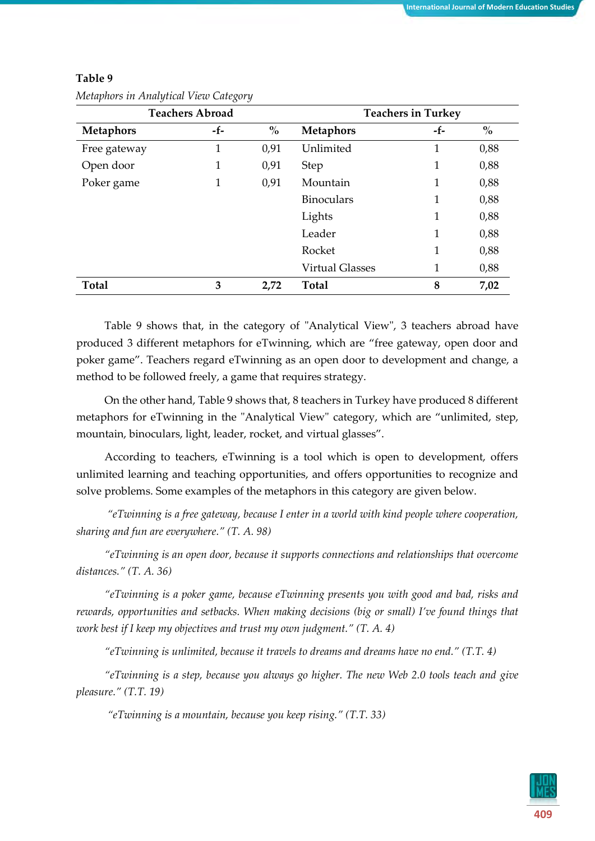| <b>Teachers Abroad</b> |       |                                    | <b>Teachers in Turkey</b> |     |                                    |
|------------------------|-------|------------------------------------|---------------------------|-----|------------------------------------|
| <b>Metaphors</b>       | $-f-$ | $\mathbf{0}_{\mathbf{0}}^{\prime}$ | <b>Metaphors</b>          | -f- | $\mathbf{0}_{\mathbf{0}}^{\prime}$ |
| Free gateway           | 1     | 0,91                               | Unlimited                 | 1   | 0,88                               |
| Open door              | 1     | 0,91                               | <b>Step</b>               | 1   | 0,88                               |
| Poker game             | 1     | 0,91                               | Mountain                  | 1   | 0,88                               |
|                        |       |                                    | <b>Binoculars</b>         | 1   | 0,88                               |
|                        |       |                                    | Lights                    | 1   | 0,88                               |
|                        |       |                                    | Leader                    | 1   | 0,88                               |
|                        |       |                                    | Rocket                    | 1   | 0,88                               |
|                        |       |                                    | <b>Virtual Glasses</b>    | 1   | 0,88                               |
| <b>Total</b>           | 3     | 2,72                               | <b>Total</b>              | 8   | 7,02                               |

*Metaphors in Analytical View Category*

Table 9 shows that, in the category of "Analytical View", 3 teachers abroad have produced 3 different metaphors for eTwinning, which are "free gateway, open door and poker game". Teachers regard eTwinning as an open door to development and change, a method to be followed freely, a game that requires strategy.

On the other hand, Table 9 shows that, 8 teachers in Turkey have produced 8 different metaphors for eTwinning in the "Analytical View" category, which are "unlimited, step, mountain, binoculars, light, leader, rocket, and virtual glasses".

According to teachers, eTwinning is a tool which is open to development, offers unlimited learning and teaching opportunities, and offers opportunities to recognize and solve problems. Some examples of the metaphors in this category are given below.

*"eTwinning is a free gateway, because I enter in a world with kind people where cooperation, sharing and fun are everywhere." (T. A. 98)*

*"eTwinning is an open door, because it supports connections and relationships that overcome distances." (T. A. 36)*

*"eTwinning is a poker game, because eTwinning presents you with good and bad, risks and rewards, opportunities and setbacks. When making decisions (big or small) I've found things that work best if I keep my objectives and trust my own judgment." (T. A. 4)*

*"eTwinning is unlimited, because it travels to dreams and dreams have no end." (T.T. 4)*

*"eTwinning is a step, because you always go higher. The new Web 2.0 tools teach and give pleasure." (T.T. 19)*

*"eTwinning is a mountain, because you keep rising." (T.T. 33)*

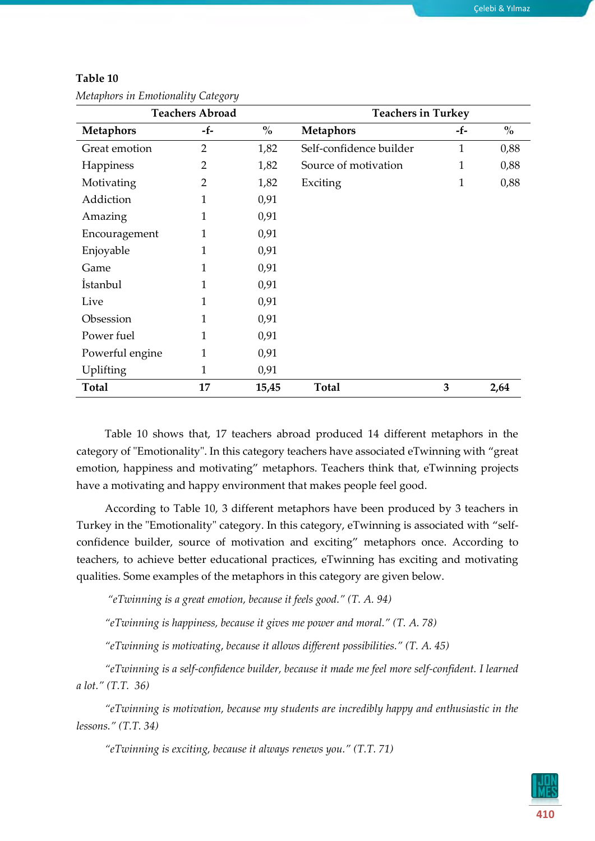| <b>Teachers Abroad</b> |                | <b>Teachers in Turkey</b>          |                         |              |               |
|------------------------|----------------|------------------------------------|-------------------------|--------------|---------------|
| <b>Metaphors</b>       | -f-            | $\mathbf{0}_{\mathbf{0}}^{\prime}$ | <b>Metaphors</b>        | -f-          | $\frac{0}{0}$ |
| Great emotion          | $\overline{2}$ | 1,82                               | Self-confidence builder | $\mathbf{1}$ | 0,88          |
| Happiness              | 2              | 1,82                               | Source of motivation    | 1            | 0,88          |
| Motivating             | $\overline{2}$ | 1,82                               | Exciting                | $\mathbf{1}$ | 0,88          |
| Addiction              | 1              | 0,91                               |                         |              |               |
| Amazing                | 1              | 0,91                               |                         |              |               |
| Encouragement          | 1              | 0,91                               |                         |              |               |
| Enjoyable              | 1              | 0,91                               |                         |              |               |
| Game                   | 1              | 0,91                               |                         |              |               |
| <i>istanbul</i>        | 1              | 0,91                               |                         |              |               |
| Live                   | 1              | 0,91                               |                         |              |               |
| Obsession              | 1              | 0,91                               |                         |              |               |
| Power fuel             | 1              | 0,91                               |                         |              |               |
| Powerful engine        | 1              | 0,91                               |                         |              |               |
| Uplifting              | 1              | 0,91                               |                         |              |               |
| <b>Total</b>           | 17             | 15,45                              | <b>Total</b>            | 3            | 2,64          |

*Metaphors in Emotionality Category*

Table 10 shows that, 17 teachers abroad produced 14 different metaphors in the category of "Emotionality". In this category teachers have associated eTwinning with "great emotion, happiness and motivating" metaphors. Teachers think that, eTwinning projects have a motivating and happy environment that makes people feel good.

According to Table 10, 3 different metaphors have been produced by 3 teachers in Turkey in the "Emotionality" category. In this category, eTwinning is associated with "selfconfidence builder, source of motivation and exciting" metaphors once. According to teachers, to achieve better educational practices, eTwinning has exciting and motivating qualities. Some examples of the metaphors in this category are given below.

*"eTwinning is a great emotion, because it feels good." (T. A. 94)*

*"eTwinning is happiness, because it gives me power and moral." (T. A. 78)*

*"eTwinning is motivating*, *because it allows different possibilities." (T. A. 45)* 

*"eTwinning is a self-confidence builder, because it made me feel more self-confident. I learned a lot." (T.T. 36)*

*"eTwinning is motivation, because my students are incredibly happy and enthusiastic in the lessons." (T.T. 34)*

*"eTwinning is exciting, because it always renews you." (T.T. 71)*

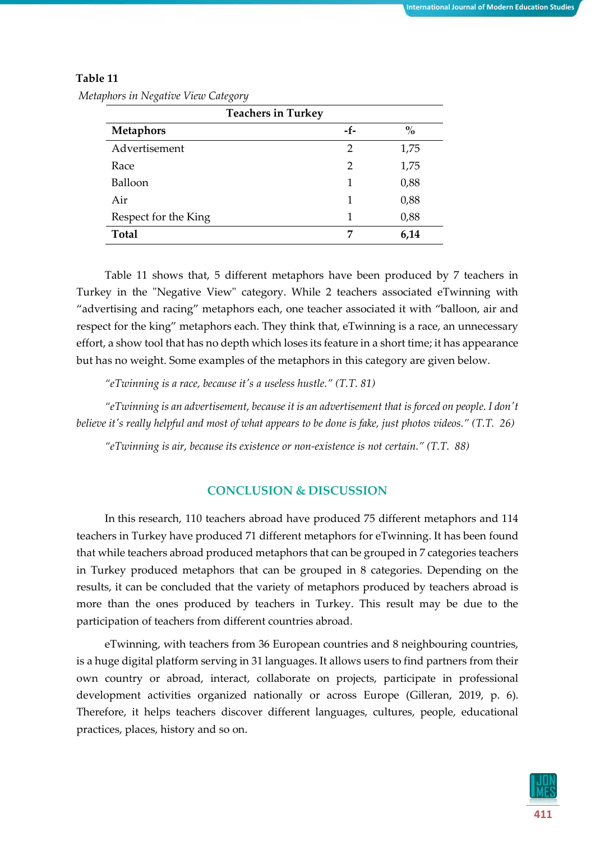| ັ<br>ັ<br>$\overline{\phantom{a}}$ |     |               |  |  |  |
|------------------------------------|-----|---------------|--|--|--|
| <b>Teachers in Turkey</b>          |     |               |  |  |  |
| <b>Metaphors</b>                   | -f- | $\frac{0}{0}$ |  |  |  |
| Advertisement                      | 2   | 1,75          |  |  |  |
| Race                               | 2   | 1,75          |  |  |  |
| Balloon                            | 1   | 0,88          |  |  |  |
| Air                                | 1   | 0,88          |  |  |  |
| Respect for the King               | 1   | 0,88          |  |  |  |
| <b>Total</b>                       | 7   | 6,14          |  |  |  |

*Metaphors in Negative View Category*

Table 11 shows that, 5 different metaphors have been produced by 7 teachers in Turkey in the "Negative View" category. While 2 teachers associated eTwinning with "advertising and racing" metaphors each, one teacher associated it with "balloon, air and respect for the king" metaphors each. They think that, eTwinning is a race, an unnecessary effort, a show tool that has no depth which loses its feature in a short time; it has appearance but has no weight. Some examples of the metaphors in this category are given below.

*"eTwinning is a race, because it's a useless hustle." (T.T. 81)*

*"eTwinning is an advertisement, because it is an advertisement that is forced on people. I don't believe it's really helpful and most of what appears to be done is fake, just photos videos." (T.T. 26)* 

*"eTwinning is air, because its existence or non-existence is not certain." (T.T. 88)*

# **CONCLUSION & DISCUSSION**

In this research, 110 teachers abroad have produced 75 different metaphors and 114 teachers in Turkey have produced 71 different metaphors for eTwinning. It has been found that while teachers abroad produced metaphors that can be grouped in 7 categories teachers in Turkey produced metaphors that can be grouped in 8 categories. Depending on the results, it can be concluded that the variety of metaphors produced by teachers abroad is more than the ones produced by teachers in Turkey. This result may be due to the participation of teachers from different countries abroad.

eTwinning, with teachers from 36 European countries and 8 neighbouring countries, is a huge digital platform serving in 31 languages. It allows users to find partners from their own country or abroad, interact, collaborate on projects, participate in professional development activities organized nationally or across Europe (Gilleran, 2019, p. 6). Therefore, it helps teachers discover different languages, cultures, people, educational practices, places, history and so on.

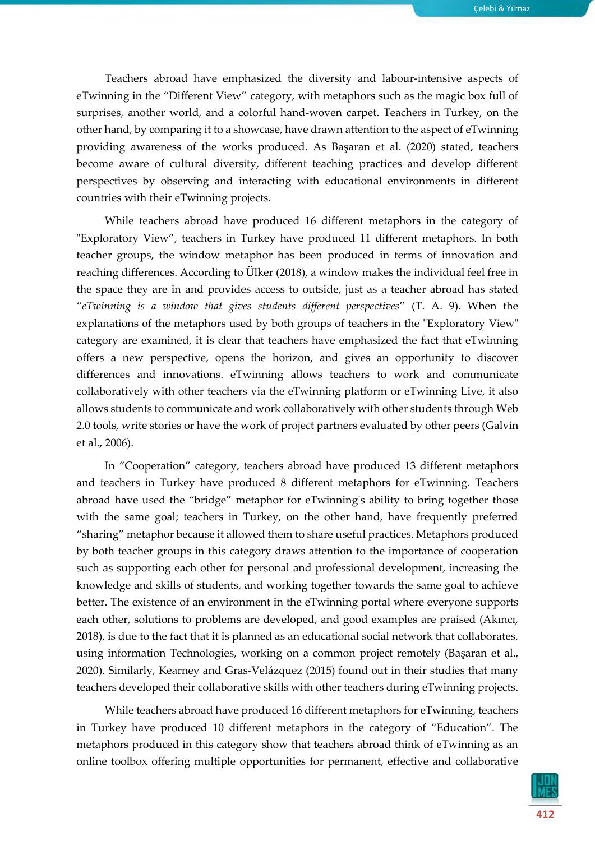Teachers abroad have emphasized the diversity and labour-intensive aspects of eTwinning in the "Different View" category, with metaphors such as the magic box full of surprises, another world, and a colorful hand-woven carpet. Teachers in Turkey, on the other hand, by comparing it to a showcase, have drawn attention to the aspect of eTwinning providing awareness of the works produced. As Başaran et al. (2020) stated, teachers become aware of cultural diversity, different teaching practices and develop different perspectives by observing and interacting with educational environments in different countries with their eTwinning projects.

While teachers abroad have produced 16 different metaphors in the category of "Exploratory View", teachers in Turkey have produced 11 different metaphors. In both teacher groups, the window metaphor has been produced in terms of innovation and reaching differences. According to Ülker (2018), a window makes the individual feel free in the space they are in and provides access to outside, just as a teacher abroad has stated "*eTwinning is a window that gives students different perspectives*" (T. A. 9). When the explanations of the metaphors used by both groups of teachers in the "Exploratory View" category are examined, it is clear that teachers have emphasized the fact that eTwinning offers a new perspective, opens the horizon, and gives an opportunity to discover differences and innovations. eTwinning allows teachers to work and communicate collaboratively with other teachers via the eTwinning platform or eTwinning Live, it also allows students to communicate and work collaboratively with other students through Web 2.0 tools, write stories or have the work of project partners evaluated by other peers (Galvin et al., 2006).

In "Cooperation" category, teachers abroad have produced 13 different metaphors and teachers in Turkey have produced 8 different metaphors for eTwinning. Teachers abroad have used the "bridge" metaphor for eTwinning's ability to bring together those with the same goal; teachers in Turkey, on the other hand, have frequently preferred "sharing" metaphor because it allowed them to share useful practices. Metaphors produced by both teacher groups in this category draws attention to the importance of cooperation such as supporting each other for personal and professional development, increasing the knowledge and skills of students, and working together towards the same goal to achieve better. The existence of an environment in the eTwinning portal where everyone supports each other, solutions to problems are developed, and good examples are praised (Akıncı, 2018), is due to the fact that it is planned as an educational social network that collaborates, using information Technologies, working on a common project remotely (Başaran et al., 2020). Similarly, Kearney and Gras-Velázquez (2015) found out in their studies that many teachers developed their collaborative skills with other teachers during eTwinning projects.

While teachers abroad have produced 16 different metaphors for eTwinning, teachers in Turkey have produced 10 different metaphors in the category of "Education". The metaphors produced in this category show that teachers abroad think of eTwinning as an online toolbox offering multiple opportunities for permanent, effective and collaborative

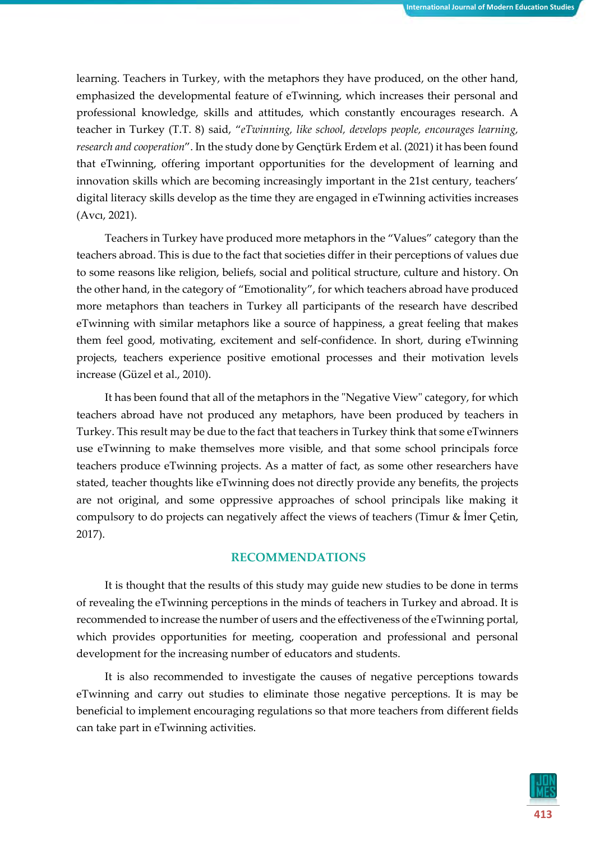learning. Teachers in Turkey, with the metaphors they have produced, on the other hand, emphasized the developmental feature of eTwinning, which increases their personal and professional knowledge, skills and attitudes, which constantly encourages research. A teacher in Turkey (T.T. 8) said, "*eTwinning, like school, develops people, encourages learning, research and cooperation*". In the study done by Gençtürk Erdem et al. (2021) it has been found that eTwinning, offering important opportunities for the development of learning and innovation skills which are becoming increasingly important in the 21st century, teachers' digital literacy skills develop as the time they are engaged in eTwinning activities increases (Avcı, 2021).

Teachers in Turkey have produced more metaphors in the "Values" category than the teachers abroad. This is due to the fact that societies differ in their perceptions of values due to some reasons like religion, beliefs, social and political structure, culture and history. On the other hand, in the category of "Emotionality", for which teachers abroad have produced more metaphors than teachers in Turkey all participants of the research have described eTwinning with similar metaphors like a source of happiness, a great feeling that makes them feel good, motivating, excitement and self-confidence. In short, during eTwinning projects, teachers experience positive emotional processes and their motivation levels increase (Güzel et al., 2010).

It has been found that all of the metaphors in the "Negative View" category, for which teachers abroad have not produced any metaphors, have been produced by teachers in Turkey. This result may be due to the fact that teachers in Turkey think that some eTwinners use eTwinning to make themselves more visible, and that some school principals force teachers produce eTwinning projects. As a matter of fact, as some other researchers have stated, teacher thoughts like eTwinning does not directly provide any benefits, the projects are not original, and some oppressive approaches of school principals like making it compulsory to do projects can negatively affect the views of teachers (Timur & İmer Çetin, 2017).

#### **RECOMMENDATIONS**

It is thought that the results of this study may guide new studies to be done in terms of revealing the eTwinning perceptions in the minds of teachers in Turkey and abroad. It is recommended to increase the number of users and the effectiveness of the eTwinning portal, which provides opportunities for meeting, cooperation and professional and personal development for the increasing number of educators and students.

It is also recommended to investigate the causes of negative perceptions towards eTwinning and carry out studies to eliminate those negative perceptions. It is may be beneficial to implement encouraging regulations so that more teachers from different fields can take part in eTwinning activities.

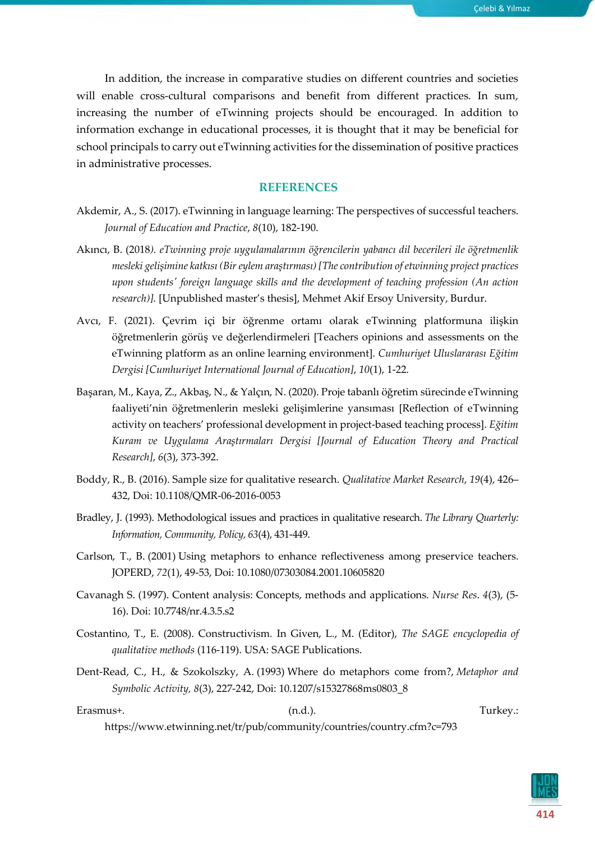In addition, the increase in comparative studies on different countries and societies will enable cross-cultural comparisons and benefit from different practices. In sum, increasing the number of eTwinning projects should be encouraged. In addition to information exchange in educational processes, it is thought that it may be beneficial for school principals to carry out eTwinning activities for the dissemination of positive practices in administrative processes.

#### **REFERENCES**

- Akdemir, A., S. (2017). eTwinning in language learning: The perspectives of successful teachers. *Journal of Education and Practice*, *8*(10), 182-190.
- Akıncı, B. (2018*). eTwinning proje uygulamalarının öğrencilerin yabancı dil becerileri ile öğretmenlik mesleki gelişimine katkısı (Bir eylem araştırması) [The contribution of etwinning project practices upon students' foreign language skills and the development of teaching profession (An action research)].* [Unpublished master's thesis], Mehmet Akif Ersoy University, Burdur.
- Avcı, F. (2021). Çevrim içi bir öğrenme ortamı olarak eTwinning platformuna ilişkin öğretmenlerin görüş ve değerlendirmeleri [Teachers opinions and assessments on the eTwinning platform as an online learning environment]. *Cumhuriyet Uluslararası Eğitim Dergisi [Cumhuriyet International Journal of Education]*, *10*(1), 1-22.
- Başaran, M., Kaya, Z., Akbaş, N., & Yalçın, N. (2020). Proje tabanlı öğretim sürecinde eTwinning faaliyeti'nin öğretmenlerin mesleki gelişimlerine yansıması [Reflection of eTwinning activity on teachers' professional development in project-based teaching process]. *Eğitim Kuram ve Uygulama Araştırmaları Dergisi [Journal of Education Theory and Practical Research]*, *6*(3), 373-392.
- Boddy, R., B. (2016). Sample size for qualitative research. *[Qualitative Market Research](https://www.emerald.com/insight/publication/issn/1352-2752)*, *19*(4), 426– 432, Doi: 10.1108/QMR-06-2016-0053
- Bradley, J. (1993). Methodological issues and practices in qualitative research. *The Library Quarterly: Information, Community, Policy, 63*(4), 431-449.
- Carlson, T., B. (2001) Using metaphors to enhance reflectiveness among preservice teachers. JOPERD, *72*(1), 49-53, Doi: 10.1080/07303084.2001.10605820
- Cavanagh S. (1997). Content analysis: Concepts, methods and applications. *Nurse Res*. *4*(3), (5- 16). Doi: 10.7748/nr.4.3.5.s2
- Costantino, T., E. (2008). Constructivism*.* In Given, L., M. (Editor), *The SAGE encyclopedia of qualitative methods* (116-119). USA: SAGE Publications.
- Dent-Read, C., H., & Szokolszky, A. (1993) Where do metaphors come from?, *Metaphor and Symbolic Activity, 8*(3), 227-242, Doi: 10.1207/s15327868ms0803\_8

Erasmus+. (n.d.). Turkey.: https://www.etwinning.net/tr/pub/community/countries/country.cfm?c=793

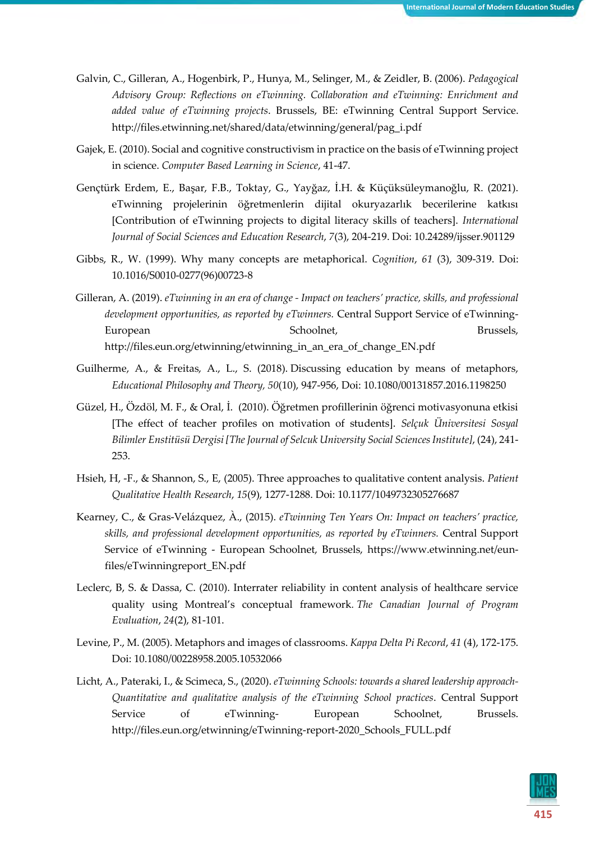- Galvin, C., Gilleran, A., Hogenbirk, P., Hunya, M., Selinger, M., & Zeidler, B. (2006). *Pedagogical Advisory Group: Reflections on eTwinning. Collaboration and eTwinning: Enrichment and added value of eTwinning projects*. Brussels, BE: eTwinning Central Support Service. http://files.etwinning.net/shared/data/etwinning/general/pag\_i.pdf
- Gajek, E. (2010). Social and cognitive constructivism in practice on the basis of eTwinning project in science. *Computer Based Learning in Science*, 41-47.
- Gençtürk Erdem, E., Başar, F.B., Toktay, G., Yayğaz, İ.H. & Küçüksüleymanoğlu, R. (2021). eTwinning projelerinin öğretmenlerin dijital okuryazarlık becerilerine katkısı [Contribution of eTwinning projects to digital literacy skills of teachers]. *International Journal of Social Sciences and Education Research*, *7*(3), 204-219. Doi: 10.24289/ijsser.901129
- Gibbs, R., W. (1999). Why many concepts are metaphorical. *Cognition*, *61* (3), 309-319. Doi: 10.1016/S0010-0277(96)00723-8
- Gilleran, A. (2019). *eTwinning in an era of change - Impact on teachers' practice, skills, and professional development opportunities, as reported by eTwinners.* Central Support Service of eTwinning-European Schoolnet, Brussels, http://files.eun.org/etwinning/etwinning\_in\_an\_era\_of\_change\_EN.pdf
- Guilherme, A., & Freitas, A., L., S. (2018). Discussing education by means of metaphors, *Educational Philosophy and Theory, 50*(10), 947-956, Doi: 10.1080/00131857.2016.1198250
- Güzel, H., Özdöl, M. F., & Oral, İ. (2010). Öğretmen profillerinin öğrenci motivasyonuna etkisi [The effect of teacher profiles on motivation of students]. *Selçuk Üniversitesi Sosyal Bilimler Enstitüsü Dergisi [The Journal of Selcuk University Social Sciences Institute]*, (24), 241- 253.
- Hsieh, H, -F., & Shannon, S., E, (2005). Three approaches to qualitative content analysis. *Patient Qualitative Health Research*, *15*(9), 1277-1288. Doi: 10.1177/1049732305276687
- Kearney, C., & Gras-Velázquez, À., (2015). *eTwinning Ten Years On: Impact on teachers' practice, skills, and professional development opportunities, as reported by eTwinners.* Central Support Service of eTwinning - European Schoolnet, Brussels, https://www.etwinning.net/eunfiles/eTwinningreport\_EN.pdf
- Leclerc, B, S. & Dassa, C. (2010). Interrater reliability in content analysis of healthcare service quality using Montreal's conceptual framework*. The Canadian Journal of Program Evaluation*, *24*(2), 81-101.
- Levine, P., M. (2005). Metaphors and images of classrooms. *Kappa Delta Pi Record*, *41* (4), 172-175. Doi: [10.1080/00228958.2005.10532066](https://doi.org/10.1080/00228958.2005.10532066)
- Licht, A., Pateraki, I., & Scimeca, S., (2020). *eTwinning Schools: towards a shared leadership approach-Quantitative and qualitative analysis of the eTwinning School practices*. Central Support Service of eTwinning- European Schoolnet, Brussels. http://files.eun.org/etwinning/eTwinning-report-2020\_Schools\_FULL.pdf

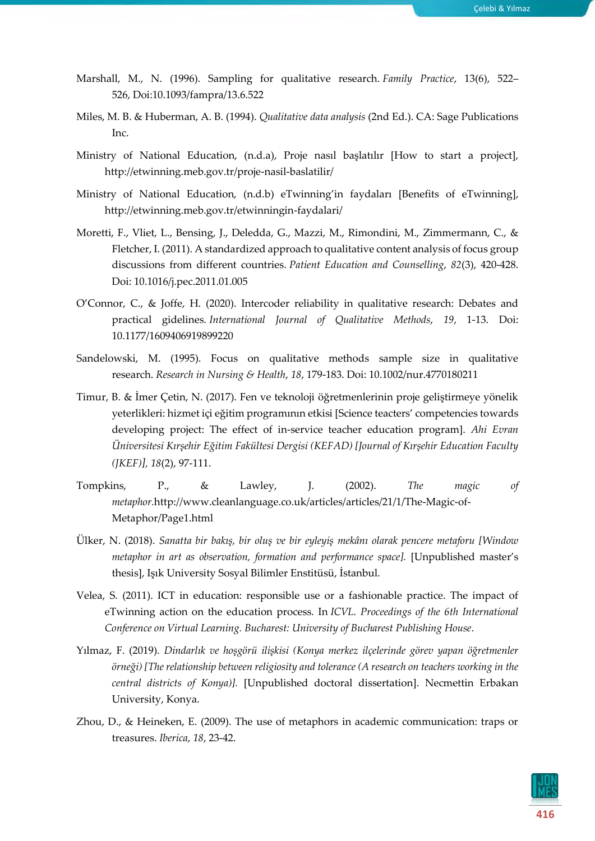- Marshall, M., N. (1996). Sampling for qualitative research. *Family Practice*, 13(6), 522– 526, Doi:10.1093/fampra/13.6.522
- Miles, M. B. & Huberman, A. B. (1994). *Qualitative data analysis* (2nd Ed.). CA: Sage Publications Inc.
- Ministry of National Education, (n.d.a), Proje nasıl başlatılır [How to start a project], http://etwinning.meb.gov.tr/proje-nasil-baslatilir/
- Ministry of National Education, (n.d.b) eTwinning'in faydaları [Benefits of eTwinning], http://etwinning.meb.gov.tr/etwinningin-faydalari/
- Moretti, F., Vliet, L., Bensing, J., Deledda, G., Mazzi, M., Rimondini, M., Zimmermann, C., & Fletcher, I. (2011). A standardized approach to qualitative content analysis of focus group discussions from different countries. *Patient Education and Counselling*, *82*(3), 420-428. Doi: 10.1016/j.pec.2011.01.005
- O'Connor, C., & Joffe, H. (2020). Intercoder reliability in qualitative research: Debates and practical gidelines*. International Journal of Qualitative Methods*, *19*, 1-13. Doi: 10.1177/1609406919899220
- Sandelowski, M. (1995). Focus on qualitative methods sample size in qualitative research. *Research in Nursing & Health*, *18*, 179-183. Doi: [10.1002/nur.4770180211](https://doi.org/10.1002/nur.4770180211)
- Timur, B. & İmer Çetin, N. (2017). Fen ve teknoloji öğretmenlerinin proje geliştirmeye yönelik yeterlikleri: hizmet içi eğitim programının etkisi [Science teacters' competencies towards developing project: The effect of in-service teacher education program]. *Ahi Evran Üniversitesi Kırşehir Eğitim Fakültesi Dergisi (KEFAD) [Journal of Kırşehir Education Faculty (JKEF)], 18*(2), 97-111.
- Tompkins, P., & Lawley, J. (2002). *The magic of metaphor.*http://www.cleanlanguage.co.uk/articles/articles/21/1/The-Magic-of-Metaphor/Page1.html
- Ülker, N. (2018). *Sanatta bir bakış, bir oluş ve bir eyleyiş mekânı olarak pencere metaforu [Window metaphor in art as observation, formation and performance space].* [Unpublished master's thesis], Işık University Sosyal Bilimler Enstitüsü, İstanbul.
- Velea, S. (2011). ICT in education: responsible use or a fashionable practice. The impact of eTwinning action on the education process. In *ICVL. Proceedings of the 6th International Conference on Virtual Learning. Bucharest: University of Bucharest Publishing House*.
- Yılmaz, F. (2019). *Dindarlık ve hoşgörü ilişkisi (Konya merkez ilçelerinde görev yapan öğretmenler örneği) [The relationship between religiosity and tolerance (A research on teachers working in the central districts of Konya)].* [Unpublished doctoral dissertation]. Necmettin Erbakan University, Konya.
- Zhou, D., & Heineken, E. (2009). The use of metaphors in academic communication: traps or treasures. *Iberica*, *18*, 23-42.